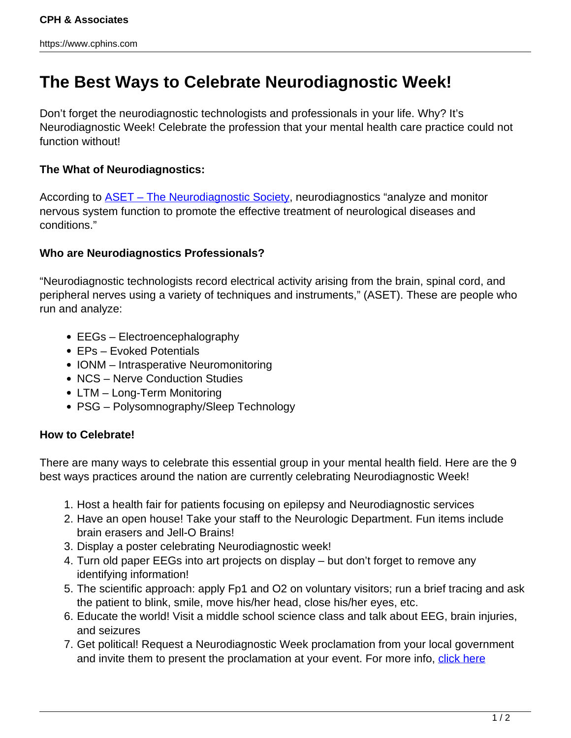## **The Best Ways to Celebrate Neurodiagnostic Week!**

Don't forget the neurodiagnostic technologists and professionals in your life. Why? It's Neurodiagnostic Week! Celebrate the profession that your mental health care practice could not function without!

## **The What of Neurodiagnostics:**

According to **ASET** – The Neurodiagnostic Society, neurodiagnostics "analyze and monitor nervous system function to promote the effective treatment of neurological diseases and conditions."

## **Who are Neurodiagnostics Professionals?**

"Neurodiagnostic technologists record electrical activity arising from the brain, spinal cord, and peripheral nerves using a variety of techniques and instruments," (ASET). These are people who run and analyze:

- EEGs Electroencephalography
- EPs Evoked Potentials
- IONM Intrasperative Neuromonitoring
- NCS Nerve Conduction Studies
- LTM Long-Term Monitoring
- PSG Polysomnography/Sleep Technology

## **How to Celebrate!**

There are many ways to celebrate this essential group in your mental health field. Here are the 9 best ways practices around the nation are currently celebrating Neurodiagnostic Week!

- 1. Host a health fair for patients focusing on epilepsy and Neurodiagnostic services
- 2. Have an open house! Take your staff to the Neurologic Department. Fun items include brain erasers and Jell-O Brains!
- 3. Display a poster celebrating Neurodiagnostic week!
- 4. Turn old paper EEGs into art projects on display but don't forget to remove any identifying information!
- 5. The scientific approach: apply Fp1 and O2 on voluntary visitors; run a brief tracing and ask the patient to blink, smile, move his/her head, close his/her eyes, etc.
- 6. Educate the world! Visit a middle school science class and talk about EEG, brain injuries, and seizures
- 7. Get political! Request a Neurodiagnostic Week proclamation from your local government and invite them to present the proclamation at your event. For more info, [click here](http://www.aset.org/i4a/pages/index.cfm?pageid=3765)